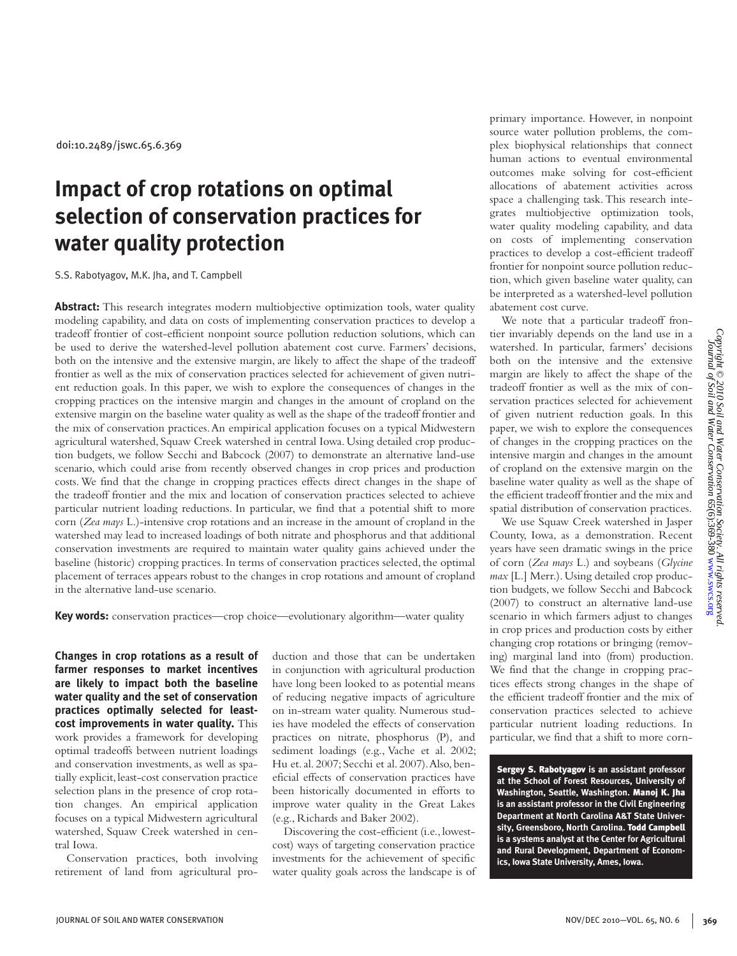doi:10.2489/jswc.65.6.369

# **Impact of crop rotations on optimal selection of conservation practices for water quality protection**

S.S. Rabotyagov, M.K. Jha, and T. Campbell

**Abstract:** This research integrates modern multiobjective optimization tools, water quality modeling capability, and data on costs of implementing conservation practices to develop a tradeoff frontier of cost-efficient nonpoint source pollution reduction solutions, which can be used to derive the watershed-level pollution abatement cost curve. Farmers' decisions, both on the intensive and the extensive margin, are likely to affect the shape of the tradeoff frontier as well as the mix of conservation practices selected for achievement of given nutrient reduction goals. In this paper, we wish to explore the consequences of changes in the cropping practices on the intensive margin and changes in the amount of cropland on the extensive margin on the baseline water quality as well as the shape of the tradeoff frontier and the mix of conservation practices. An empirical application focuses on a typical Midwestern agricultural watershed, Squaw Creek watershed in central Iowa. Using detailed crop production budgets, we follow Secchi and Babcock (2007) to demonstrate an alternative land-use scenario, which could arise from recently observed changes in crop prices and production costs. We find that the change in cropping practices effects direct changes in the shape of the tradeoff frontier and the mix and location of conservation practices selected to achieve particular nutrient loading reductions. In particular, we find that a potential shift to more corn (*Zea mays* L.)-intensive crop rotations and an increase in the amount of cropland in the watershed may lead to increased loadings of both nitrate and phosphorus and that additional conservation investments are required to maintain water quality gains achieved under the baseline (historic) cropping practices. In terms of conservation practices selected, the optimal placement of terraces appears robust to the changes in crop rotations and amount of cropland in the alternative land-use scenario.

**Key words:** conservation practices—crop choice—evolutionary algorithm—water quality

**Changes in crop rotations as a result of farmer responses to market incentives are likely to impact both the baseline water quality and the set of conservation practices optimally selected for leastcost improvements in water quality.** This work provides a framework for developing optimal tradeoffs between nutrient loadings and conservation investments, as well as spatially explicit, least-cost conservation practice selection plans in the presence of crop rotation changes. An empirical application focuses on a typical Midwestern agricultural watershed, Squaw Creek watershed in central Iowa.

Conservation practices, both involving retirement of land from agricultural production and those that can be undertaken in conjunction with agricultural production have long been looked to as potential means of reducing negative impacts of agriculture on in-stream water quality. Numerous studies have modeled the effects of conservation practices on nitrate, phosphorus (P), and sediment loadings (e.g., Vache et al. 2002; Hu et. al. 2007; Secchi et al. 2007). Also, beneficial effects of conservation practices have been historically documented in efforts to improve water quality in the Great Lakes (e.g., Richards and Baker 2002).

Discovering the cost-efficient (i.e., lowestcost) ways of targeting conservation practice investments for the achievement of specific water quality goals across the landscape is of primary importance. However, in nonpoint source water pollution problems, the complex biophysical relationships that connect human actions to eventual environmental outcomes make solving for cost-efficient allocations of abatement activities across space a challenging task. This research integrates multiobjective optimization tools, water quality modeling capability, and data on costs of implementing conservation practices to develop a cost-efficient tradeoff frontier for nonpoint source pollution reduction, which given baseline water quality, can be interpreted as a watershed-level pollution abatement cost curve.

We note that a particular tradeoff frontier invariably depends on the land use in a watershed. In particular, farmers' decisions both on the intensive and the extensive margin are likely to affect the shape of the tradeoff frontier as well as the mix of conservation practices selected for achievement of given nutrient reduction goals. In this paper, we wish to explore the consequences of changes in the cropping practices on the intensive margin and changes in the amount of cropland on the extensive margin on the baseline water quality as well as the shape of the efficient tradeoff frontier and the mix and spatial distribution of conservation practices.

We use Squaw Creek watershed in Jasper County, Iowa, as a demonstration. Recent years have seen dramatic swings in the price of corn (*Zea mays* L.) and soybeans (*Glycine max* [L.] Merr.). Using detailed crop production budgets, we follow Secchi and Babcock (2007) to construct an alternative land-use scenario in which farmers adjust to changes in crop prices and production costs by either changing crop rotations or bringing (removing) marginal land into (from) production. We find that the change in cropping practices effects strong changes in the shape of the efficient tradeoff frontier and the mix of conservation practices selected to achieve particular nutrient loading reductions. In particular, we find that a shift to more corn-

Sergey S. Rabotyagov **is an assistant professor at the School of Forest Resources, University of Washington, Seattle, Washington.** Manoj K. Jha **is an assistant professor in the Civil Engineering Department at North Carolina A&T State University, Greensboro, North Carolina.** Todd Campbell **is a systems analyst at the Center for Agricultural and Rural Development, Department of Economics, Iowa State University, Ames, Iowa.**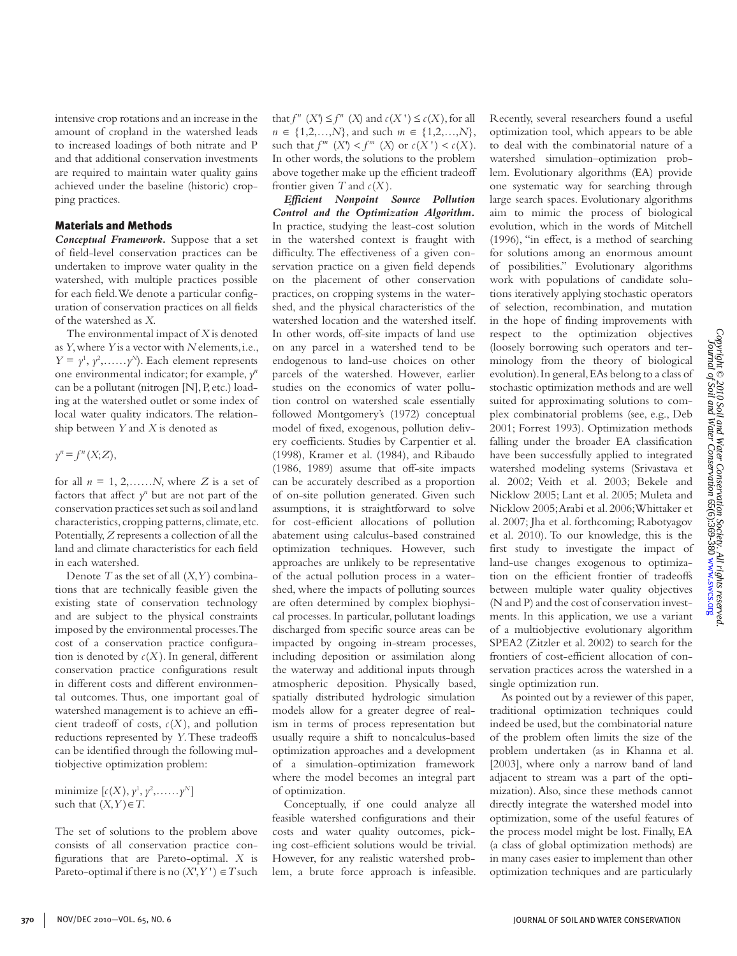intensive crop rotations and an increase in the amount of cropland in the watershed leads to increased loadings of both nitrate and P and that additional conservation investments are required to maintain water quality gains achieved under the baseline (historic) cropping practices.

### Materials and Methods

*Conceptual Framework.* Suppose that a set of field-level conservation practices can be undertaken to improve water quality in the watershed, with multiple practices possible for each field. We denote a particular configuration of conservation practices on all fields of the watershed as *X*.

The environmental impact of *X* is denoted as *Y*, where *Y* is a vector with *N* elements, i.e.,  $Y = \gamma^1, \gamma^2, \ldots, \gamma^N$ . Each element represents one environmental indicator; for example, *yn* can be a pollutant (nitrogen [N], P, etc.) loading at the watershed outlet or some index of local water quality indicators. The relationship between *Y* and *X* is denoted as

 $y^n = f^n(X;Z)$ ,

for all  $n = 1, 2, \ldots, N$ , where *Z* is a set of factors that affect  $y<sup>n</sup>$  but are not part of the conservation practices set such as soil and land characteristics, cropping patterns, climate, etc. Potentially, *Z* represents a collection of all the land and climate characteristics for each field in each watershed.

Denote  $T$  as the set of all  $(X, Y)$  combinations that are technically feasible given the existing state of conservation technology and are subject to the physical constraints imposed by the environmental processes. The cost of a conservation practice configuration is denoted by  $c(X)$ . In general, different conservation practice configurations result in different costs and different environmental outcomes. Thus, one important goal of watershed management is to achieve an efficient tradeoff of costs,  $c(X)$ , and pollution reductions represented by *Y*. These tradeoffs can be identified through the following multiobjective optimization problem:

minimize  $[c(X), y^1, y^2, \ldots, y^N]$ such that  $(X, Y) \in T$ .

The set of solutions to the problem above consists of all conservation practice configurations that are Pareto-optimal. *X* is Pareto-optimal if there is no  $(X, Y') \in T$  such that  $f^n$   $(X') \leq f^n$   $(X)$  and  $c(X') \leq c(X)$ , for all *n* ∈ {1,2,…,*N*}, and such *m* ∈ {1,2,…,*N*}, such that  $f^m$   $(X) < f^m$   $(X)$  or  $c(X') < c(X)$ . In other words, the solutions to the problem above together make up the efficient tradeoff frontier given *T* and  $c(X)$ .

*Efficient Nonpoint Source Pollution Control and the Optimization Algorithm.* In practice, studying the least-cost solution in the watershed context is fraught with difficulty. The effectiveness of a given conservation practice on a given field depends on the placement of other conservation practices, on cropping systems in the watershed, and the physical characteristics of the watershed location and the watershed itself. In other words, off-site impacts of land use on any parcel in a watershed tend to be endogenous to land-use choices on other parcels of the watershed. However, earlier studies on the economics of water pollution control on watershed scale essentially followed Montgomery's (1972) conceptual model of fixed, exogenous, pollution delivery coefficients. Studies by Carpentier et al. (1998), Kramer et al. (1984), and Ribaudo (1986, 1989) assume that off-site impacts can be accurately described as a proportion of on-site pollution generated. Given such assumptions, it is straightforward to solve for cost-efficient allocations of pollution abatement using calculus-based constrained optimization techniques. However, such approaches are unlikely to be representative of the actual pollution process in a watershed, where the impacts of polluting sources are often determined by complex biophysical processes. In particular, pollutant loadings discharged from specific source areas can be impacted by ongoing in-stream processes, including deposition or assimilation along the waterway and additional inputs through atmospheric deposition. Physically based, spatially distributed hydrologic simulation models allow for a greater degree of realism in terms of process representation but usually require a shift to noncalculus-based optimization approaches and a development of a simulation-optimization framework where the model becomes an integral part of optimization.

Conceptually, if one could analyze all feasible watershed configurations and their costs and water quality outcomes, picking cost-efficient solutions would be trivial. However, for any realistic watershed problem, a brute force approach is infeasible.

Recently, several researchers found a useful optimization tool, which appears to be able to deal with the combinatorial nature of a watershed simulation–optimization problem. Evolutionary algorithms (EA) provide one systematic way for searching through large search spaces. Evolutionary algorithms aim to mimic the process of biological evolution, which in the words of Mitchell (1996), "in effect, is a method of searching for solutions among an enormous amount of possibilities." Evolutionary algorithms work with populations of candidate solutions iteratively applying stochastic operators of selection, recombination, and mutation in the hope of finding improvements with respect to the optimization objectives (loosely borrowing such operators and terminology from the theory of biological evolution). In general, EAs belong to a class of stochastic optimization methods and are well suited for approximating solutions to complex combinatorial problems (see, e.g., Deb 2001; Forrest 1993). Optimization methods falling under the broader EA classification have been successfully applied to integrated watershed modeling systems (Srivastava et al. 2002; Veith et al. 2003; Bekele and Nicklow 2005; Lant et al. 2005; Muleta and Nicklow 2005; Arabi et al. 2006; Whittaker et al. 2007; Jha et al. forthcoming; Rabotyagov et al. 2010). To our knowledge, this is the first study to investigate the impact of land-use changes exogenous to optimization on the efficient frontier of tradeoffs between multiple water quality objectives (N and P) and the cost of conservation investments. In this application, we use a variant of a multiobjective evolutionary algorithm SPEA2 (Zitzler et al. 2002) to search for the frontiers of cost-efficient allocation of conservation practices across the watershed in a single optimization run.

As pointed out by a reviewer of this paper, traditional optimization techniques could indeed be used, but the combinatorial nature of the problem often limits the size of the problem undertaken (as in Khanna et al. [2003], where only a narrow band of land adjacent to stream was a part of the optimization). Also, since these methods cannot directly integrate the watershed model into optimization, some of the useful features of the process model might be lost. Finally, EA (a class of global optimization methods) are in many cases easier to implement than other optimization techniques and are particularly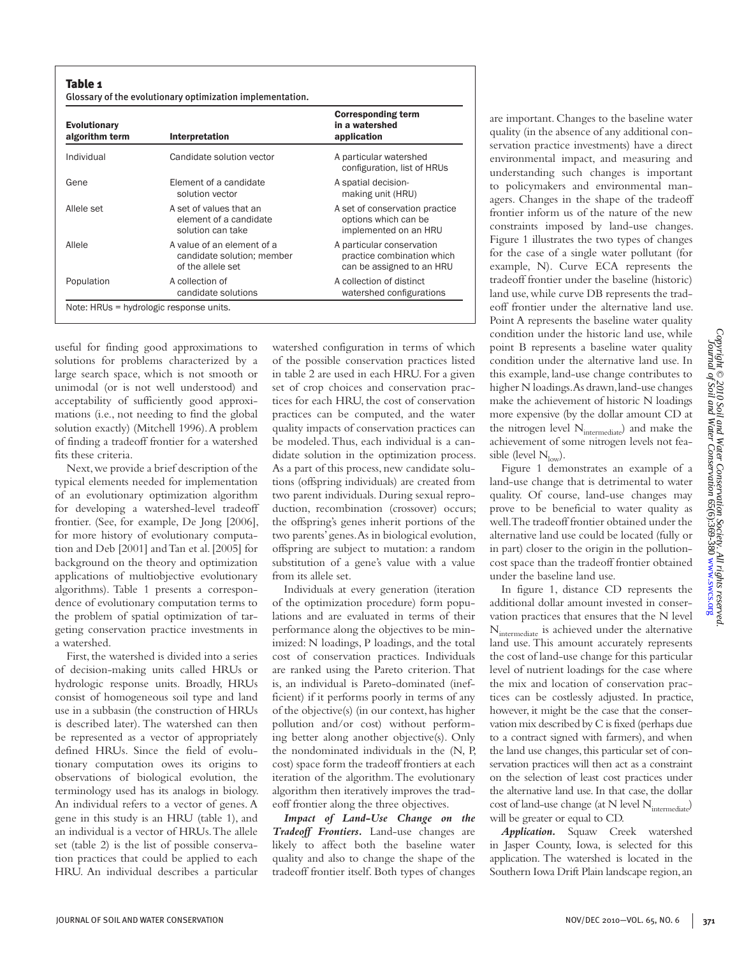| Evolutionary<br>algorithm term | Interpretation                                                                | <b>Corresponding term</b><br>in a watershed<br>application                           |  |
|--------------------------------|-------------------------------------------------------------------------------|--------------------------------------------------------------------------------------|--|
| Individual                     | Candidate solution vector                                                     | A particular watershed<br>configuration, list of HRUs                                |  |
| Gene                           | Element of a candidate<br>solution vector                                     | A spatial decision-<br>making unit (HRU)                                             |  |
| Allele set                     | A set of values that an<br>element of a candidate<br>solution can take        | A set of conservation practice<br>options which can be<br>implemented on an HRU      |  |
| Allele                         | A value of an element of a<br>candidate solution; member<br>of the allele set | A particular conservation<br>practice combination which<br>can be assigned to an HRU |  |
| Population                     | A collection of<br>candidate solutions                                        | A collection of distinct<br>watershed configurations                                 |  |

useful for finding good approximations to solutions for problems characterized by a large search space, which is not smooth or unimodal (or is not well understood) and acceptability of sufficiently good approximations (i.e., not needing to find the global solution exactly) (Mitchell 1996). A problem of finding a tradeoff frontier for a watershed fits these criteria.

Next, we provide a brief description of the typical elements needed for implementation of an evolutionary optimization algorithm for developing a watershed-level tradeoff frontier. (See, for example, De Jong [2006], for more history of evolutionary computation and Deb [2001] and Tan et al. [2005] for background on the theory and optimization applications of multiobjective evolutionary algorithms). Table 1 presents a correspondence of evolutionary computation terms to the problem of spatial optimization of targeting conservation practice investments in a watershed.

First, the watershed is divided into a series of decision-making units called HRUs or hydrologic response units. Broadly, HRUs consist of homogeneous soil type and land use in a subbasin (the construction of HRUs is described later). The watershed can then be represented as a vector of appropriately defined HRUs. Since the field of evolutionary computation owes its origins to observations of biological evolution, the terminology used has its analogs in biology. An individual refers to a vector of genes. A gene in this study is an HRU (table 1), and an individual is a vector of HRUs. The allele set (table 2) is the list of possible conservation practices that could be applied to each HRU. An individual describes a particular

watershed configuration in terms of which of the possible conservation practices listed in table 2 are used in each HRU. For a given set of crop choices and conservation practices for each HRU, the cost of conservation practices can be computed, and the water quality impacts of conservation practices can be modeled. Thus, each individual is a candidate solution in the optimization process. As a part of this process, new candidate solutions (offspring individuals) are created from two parent individuals. During sexual reproduction, recombination (crossover) occurs; the offspring's genes inherit portions of the two parents' genes. As in biological evolution, offspring are subject to mutation: a random substitution of a gene's value with a value from its allele set.

Individuals at every generation (iteration of the optimization procedure) form populations and are evaluated in terms of their performance along the objectives to be minimized: N loadings, P loadings, and the total cost of conservation practices. Individuals are ranked using the Pareto criterion. That is, an individual is Pareto-dominated (inefficient) if it performs poorly in terms of any of the objective(s) (in our context, has higher pollution and/or cost) without performing better along another objective(s). Only the nondominated individuals in the (N, P, cost) space form the tradeoff frontiers at each iteration of the algorithm. The evolutionary algorithm then iteratively improves the tradeoff frontier along the three objectives.

*Impact of Land-Use Change on the Tradeoff Frontiers.* Land-use changes are likely to affect both the baseline water quality and also to change the shape of the tradeoff frontier itself. Both types of changes are important. Changes to the baseline water quality (in the absence of any additional conservation practice investments) have a direct environmental impact, and measuring and understanding such changes is important to policymakers and environmental managers. Changes in the shape of the tradeoff frontier inform us of the nature of the new constraints imposed by land-use changes. Figure 1 illustrates the two types of changes for the case of a single water pollutant (for example, N). Curve ECA represents the tradeoff frontier under the baseline (historic) land use, while curve DB represents the tradeoff frontier under the alternative land use. Point A represents the baseline water quality condition under the historic land use, while point B represents a baseline water quality condition under the alternative land use. In this example, land-use change contributes to higher N loadings. As drawn, land-use changes make the achievement of historic N loadings more expensive (by the dollar amount CD at the nitrogen level N<sub>intermediate</sub>) and make the achievement of some nitrogen levels not feasible (level  $N_{low}$ ).

Figure 1 demonstrates an example of a land-use change that is detrimental to water quality. Of course, land-use changes may prove to be beneficial to water quality as well. The tradeoff frontier obtained under the alternative land use could be located (fully or in part) closer to the origin in the pollutioncost space than the tradeoff frontier obtained under the baseline land use.

In figure 1, distance CD represents the additional dollar amount invested in conservation practices that ensures that the N level Nintermediate is achieved under the alternative land use. This amount accurately represents the cost of land-use change for this particular level of nutrient loadings for the case where the mix and location of conservation practices can be costlessly adjusted. In practice, however, it might be the case that the conservation mix described by C is fixed (perhaps due to a contract signed with farmers), and when the land use changes, this particular set of conservation practices will then act as a constraint on the selection of least cost practices under the alternative land use. In that case, the dollar cost of land-use change (at N level N<sub>intermediate</sub>) will be greater or equal to CD.

*Application.* Squaw Creek watershed in Jasper County, Iowa, is selected for this application. The watershed is located in the Southern Iowa Drift Plain landscape region, an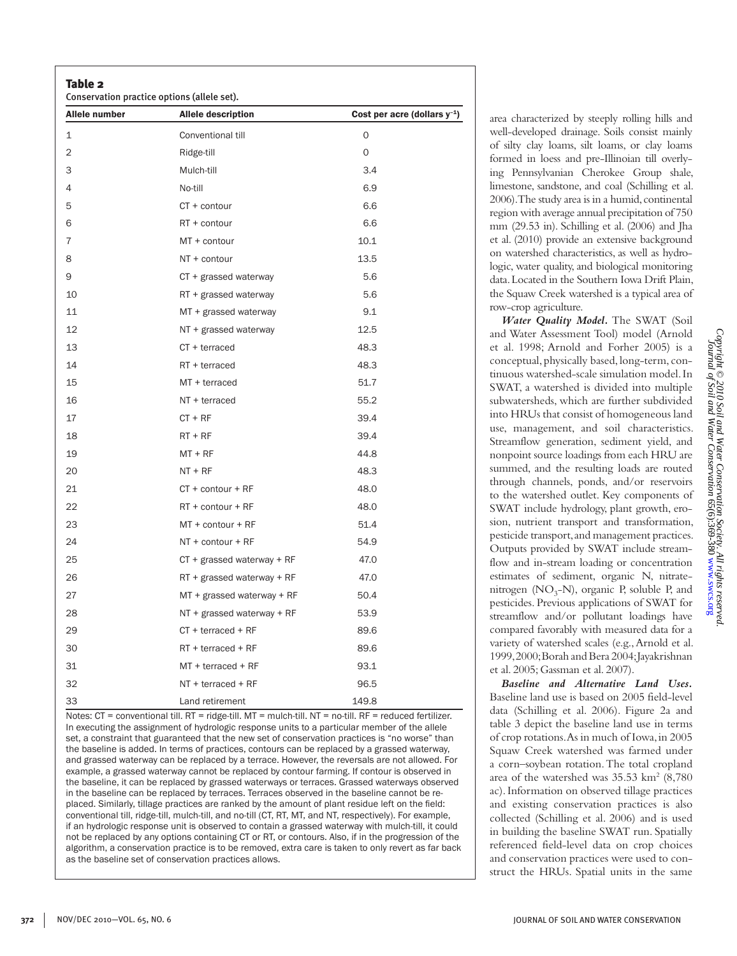| Allele number  | <b>Allele description</b>  | Cost per acre (dollars $y^{-1}$ ) |  |  |
|----------------|----------------------------|-----------------------------------|--|--|
| 1              | Conventional till          | 0                                 |  |  |
| 2              | Ridge-till                 | 0                                 |  |  |
| 3              | Mulch-till                 | 3.4                               |  |  |
| 4              | No-till                    | 6.9                               |  |  |
| 5              | $CT + \text{contour}$      | 6.6                               |  |  |
| 6              | $RT + \text{contour}$      | 6.6                               |  |  |
| $\overline{7}$ | MT + contour               | 10.1                              |  |  |
| 8              | NT + contour               | 13.5                              |  |  |
| 9              | CT + grassed waterway      | 5.6                               |  |  |
| 10             | RT + grassed waterway      | 5.6                               |  |  |
| 11             | MT + grassed waterway      | 9.1                               |  |  |
| 12             | NT + grassed waterway      | 12.5                              |  |  |
| 13             | CT + terraced              | 48.3                              |  |  |
| 14             | RT + terraced              | 48.3                              |  |  |
| 15             | MT + terraced              | 51.7                              |  |  |
| 16             | NT + terraced              | 55.2                              |  |  |
| 17             | $CT + RF$                  | 39.4                              |  |  |
| 18             | $RT + RF$                  | 39.4                              |  |  |
| 19             | $MT + RF$                  | 44.8                              |  |  |
| 20             | $NT + RF$                  | 48.3                              |  |  |
| 21             | $CT + \text{contour} + RF$ | 48.0                              |  |  |
| 22             | $RT + \text{contour} + RF$ | 48.0                              |  |  |
| 23             | MT + contour + RF          | 51.4                              |  |  |
| 24             | NT + contour + RF          | 54.9                              |  |  |
| 25             | CT + grassed waterway + RF | 47.0                              |  |  |
| 26             | RT + grassed waterway + RF | 47.0                              |  |  |
| 27             | MT + grassed waterway + RF | 50.4                              |  |  |
| 28             | NT + grassed waterway + RF | 53.9                              |  |  |
| 29             | $CT +$ terraced $+$ RF     | 89.6                              |  |  |
| 30             | RT + terraced + RF         | 89.6                              |  |  |
| 31             | $MT +$ terraced $+$ RF     | 93.1                              |  |  |
| 32             | NT + terraced + RF         | 96.5                              |  |  |
| 33             | Land retirement            | 149.8                             |  |  |

Notes: CT = conventional till. RT = ridge-till. MT = mulch-till. NT = no-till. RF = reduced fertilizer. In executing the assignment of hydrologic response units to a particular member of the allele set, a constraint that guaranteed that the new set of conservation practices is "no worse" than the baseline is added. In terms of practices, contours can be replaced by a grassed waterway, and grassed waterway can be replaced by a terrace. However, the reversals are not allowed. For example, a grassed waterway cannot be replaced by contour farming. If contour is observed in the baseline, it can be replaced by grassed waterways or terraces. Grassed waterways observed in the baseline can be replaced by terraces. Terraces observed in the baseline cannot be replaced. Similarly, tillage practices are ranked by the amount of plant residue left on the field: conventional till, ridge-till, mulch-till, and no-till (CT, RT, MT, and NT, respectively). For example, if an hydrologic response unit is observed to contain a grassed waterway with mulch-till, it could not be replaced by any options containing CT or RT, or contours. Also, if in the progression of the algorithm, a conservation practice is to be removed, extra care is taken to only revert as far back as the baseline set of conservation practices allows.

area characterized by steeply rolling hills and well-developed drainage. Soils consist mainly of silty clay loams, silt loams, or clay loams formed in loess and pre-Illinoian till overlying Pennsylvanian Cherokee Group shale, limestone, sandstone, and coal (Schilling et al. 2006). The study area is in a humid, continental region with average annual precipitation of 750 mm (29.53 in). Schilling et al. (2006) and Jha et al. (2010) provide an extensive background on watershed characteristics, as well as hydrologic, water quality, and biological monitoring data. Located in the Southern Iowa Drift Plain, the Squaw Creek watershed is a typical area of row-crop agriculture.

*Water Quality Model.* The SWAT (Soil and Water Assessment Tool) model (Arnold et al. 1998; Arnold and Forher 2005) is a conceptual, physically based, long-term, continuous watershed-scale simulation model. In SWAT, a watershed is divided into multiple subwatersheds, which are further subdivided into HRUs that consist of homogeneous land use, management, and soil characteristics. Streamflow generation, sediment yield, and nonpoint source loadings from each HRU are summed, and the resulting loads are routed through channels, ponds, and/or reservoirs to the watershed outlet. Key components of SWAT include hydrology, plant growth, erosion, nutrient transport and transformation, pesticide transport, and management practices. Outputs provided by SWAT include streamflow and in-stream loading or concentration estimates of sediment, organic N, nitratenitrogen ( $NO_3-N$ ), organic P, soluble P, and pesticides. Previous applications of SWAT for streamflow and/or pollutant loadings have compared favorably with measured data for a variety of watershed scales (e.g., Arnold et al. 1999, 2000; Borah and Bera 2004; Jayakrishnan et al. 2005; Gassman et al. 2007).

*Baseline and Alternative Land Uses.* Baseline land use is based on 2005 field-level data (Schilling et al. 2006). Figure 2a and table 3 depict the baseline land use in terms of crop rotations. As in much of Iowa, in 2005 Squaw Creek watershed was farmed under a corn–soybean rotation. The total cropland area of the watershed was 35.53 km2 (8,780 ac). Information on observed tillage practices and existing conservation practices is also collected (Schilling et al. 2006) and is used in building the baseline SWAT run. Spatially referenced field-level data on crop choices and conservation practices were used to construct the HRUs. Spatial units in the same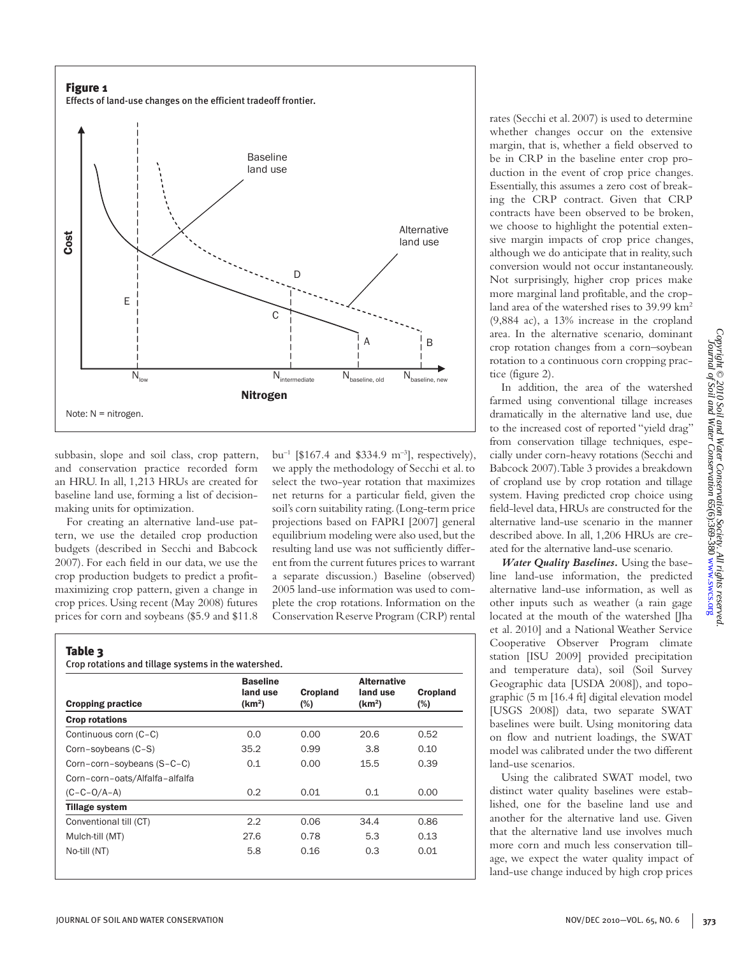

subbasin, slope and soil class, crop pattern, and conservation practice recorded form an HRU. In all, 1,213 HRUs are created for baseline land use, forming a list of decisionmaking units for optimization.

For creating an alternative land-use pattern, we use the detailed crop production budgets (described in Secchi and Babcock 2007). For each field in our data, we use the crop production budgets to predict a profitmaximizing crop pattern, given a change in crop prices. Using recent (May 2008) futures prices for corn and soybeans (\$5.9 and \$11.8

bu<sup>-1</sup> [\$167.4 and \$334.9 m<sup>-3</sup>], respectively), we apply the methodology of Secchi et al. to select the two-year rotation that maximizes net returns for a particular field, given the soil's corn suitability rating. (Long-term price projections based on FAPRI [2007] general equilibrium modeling were also used, but the resulting land use was not sufficiently different from the current futures prices to warrant a separate discussion.) Baseline (observed) 2005 land-use information was used to complete the crop rotations. Information on the Conservation Reserve Program (CRP) rental

| <b>Cropping practice</b>       | <b>Baseline</b><br>land use<br>(km <sup>2</sup> ) | <b>Cropland</b><br>(%) | <b>Alternative</b><br>land use<br>(km <sup>2</sup> ) | <b>Cropland</b><br>$(\%)$ |
|--------------------------------|---------------------------------------------------|------------------------|------------------------------------------------------|---------------------------|
| <b>Crop rotations</b>          |                                                   |                        |                                                      |                           |
| Continuous corn (C-C)          | 0.0                                               | 0.00                   | 20.6                                                 | 0.52                      |
| Corn-soybeans (C-S)            | 35.2                                              | 0.99                   | 3.8                                                  | 0.10                      |
| Corn-corn-soybeans (S-C-C)     | 0.1                                               | 0.00                   | 15.5                                                 | 0.39                      |
| Corn-corn-oats/Alfalfa-alfalfa |                                                   |                        |                                                      |                           |
| $(C-C-O/A-A)$                  | 0.2                                               | 0.01                   | 0.1                                                  | 0.00                      |
| Tillage system                 |                                                   |                        |                                                      |                           |
| Conventional till (CT)         | 2.2                                               | 0.06                   | 34.4                                                 | 0.86                      |
| Mulch-till (MT)                | 27.6                                              | 0.78                   | 5.3                                                  | 0.13                      |
| No-till (NT)                   | 5.8                                               | 0.16                   | 0.3                                                  | 0.01                      |

rates (Secchi et al. 2007) is used to determine whether changes occur on the extensive margin, that is, whether a field observed to be in CRP in the baseline enter crop production in the event of crop price changes. Essentially, this assumes a zero cost of breaking the CRP contract. Given that CRP contracts have been observed to be broken, we choose to highlight the potential extensive margin impacts of crop price changes, although we do anticipate that in reality, such conversion would not occur instantaneously. Not surprisingly, higher crop prices make more marginal land profitable, and the cropland area of the watershed rises to 39.99 km2 (9,884 ac), a 13% increase in the cropland area. In the alternative scenario, dominant crop rotation changes from a corn–soybean rotation to a continuous corn cropping practice (figure 2).

In addition, the area of the watershed farmed using conventional tillage increases dramatically in the alternative land use, due to the increased cost of reported "yield drag" from conservation tillage techniques, especially under corn-heavy rotations (Secchi and Babcock 2007). Table 3 provides a breakdown of cropland use by crop rotation and tillage system. Having predicted crop choice using field-level data, HRUs are constructed for the alternative land-use scenario in the manner described above. In all, 1,206 HRUs are created for the alternative land-use scenario.

*Water Quality Baselines.* Using the baseline land-use information, the predicted alternative land-use information, as well as other inputs such as weather (a rain gage located at the mouth of the watershed [Jha et al. 2010] and a National Weather Service Cooperative Observer Program climate station [ISU 2009] provided precipitation and temperature data), soil (Soil Survey Geographic data [USDA 2008]), and topographic (5 m [16.4 ft] digital elevation model [USGS 2008]) data, two separate SWAT baselines were built. Using monitoring data on flow and nutrient loadings, the SWAT model was calibrated under the two different land-use scenarios.

Using the calibrated SWAT model, two distinct water quality baselines were established, one for the baseline land use and another for the alternative land use. Given that the alternative land use involves much more corn and much less conservation tillage, we expect the water quality impact of land-use change induced by high crop prices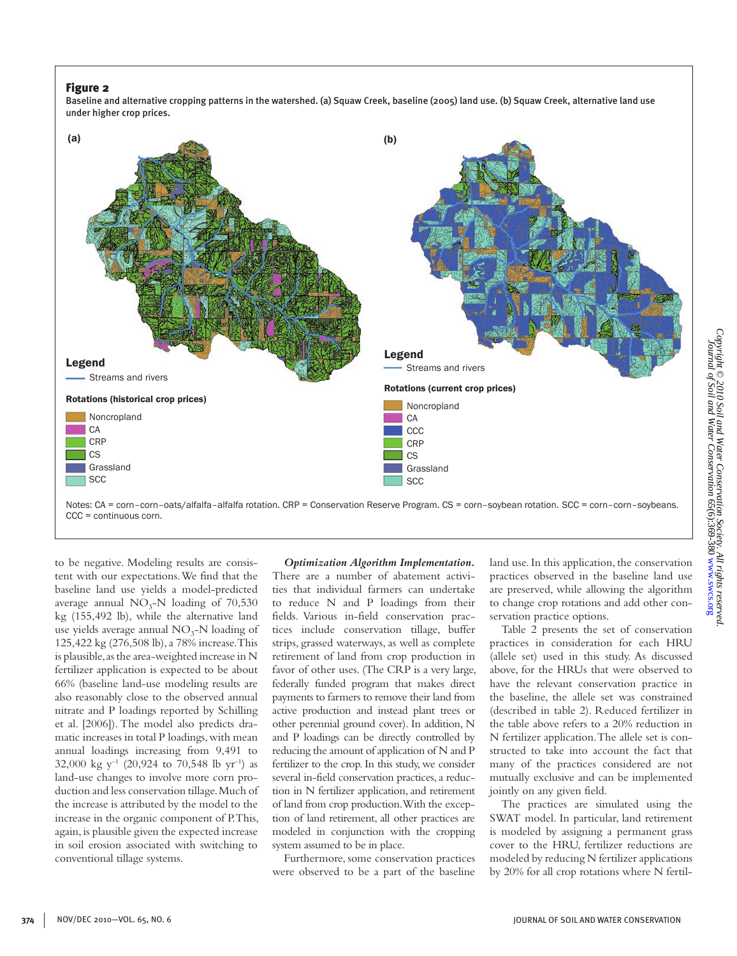## Figure 2

Baseline and alternative cropping patterns in the watershed. (a) Squaw Creek, baseline (2005) land use. (b) Squaw Creek, alternative land use under higher crop prices.



Notes: CA = corn–corn–oats/alfalfa–alfalfa rotation. CRP = Conservation Reserve Program. CS = corn–soybean rotation. SCC = corn–corn–soybeans. CCC = continuous corn.

to be negative. Modeling results are consistent with our expectations. We find that the baseline land use yields a model-predicted average annual  $NO_3-N$  loading of 70,530 kg (155,492 lb), while the alternative land use yields average annual  $NO<sub>3</sub>-N$  loading of 125,422 kg (276,508 lb), a 78% increase. This is plausible, as the area-weighted increase in N fertilizer application is expected to be about 66% (baseline land-use modeling results are also reasonably close to the observed annual nitrate and P loadings reported by Schilling et al. [2006]). The model also predicts dramatic increases in total P loadings, with mean annual loadings increasing from 9,491 to 32,000 kg  $y^{-1}$  (20,924 to 70,548 lb  $yr^{-1}$ ) as land-use changes to involve more corn production and less conservation tillage. Much of the increase is attributed by the model to the increase in the organic component of P. This, again, is plausible given the expected increase in soil erosion associated with switching to conventional tillage systems.

*Optimization Algorithm Implementation.* There are a number of abatement activities that individual farmers can undertake to reduce N and P loadings from their fields. Various in-field conservation practices include conservation tillage, buffer strips, grassed waterways, as well as complete retirement of land from crop production in favor of other uses. (The CRP is a very large, federally funded program that makes direct payments to farmers to remove their land from active production and instead plant trees or other perennial ground cover). In addition, N and P loadings can be directly controlled by reducing the amount of application of N and P fertilizer to the crop. In this study, we consider several in-field conservation practices, a reduction in N fertilizer application, and retirement of land from crop production. With the exception of land retirement, all other practices are modeled in conjunction with the cropping system assumed to be in place.

Furthermore, some conservation practices were observed to be a part of the baseline land use. In this application, the conservation practices observed in the baseline land use are preserved, while allowing the algorithm to change crop rotations and add other conservation practice options.

Table 2 presents the set of conservation practices in consideration for each HRU (allele set) used in this study. As discussed above, for the HRUs that were observed to have the relevant conservation practice in the baseline, the allele set was constrained (described in table 2). Reduced fertilizer in the table above refers to a 20% reduction in N fertilizer application. The allele set is constructed to take into account the fact that many of the practices considered are not mutually exclusive and can be implemented jointly on any given field.

The practices are simulated using the SWAT model. In particular, land retirement is modeled by assigning a permanent grass cover to the HRU, fertilizer reductions are modeled by reducing N fertilizer applications by 20% for all crop rotations where N fertil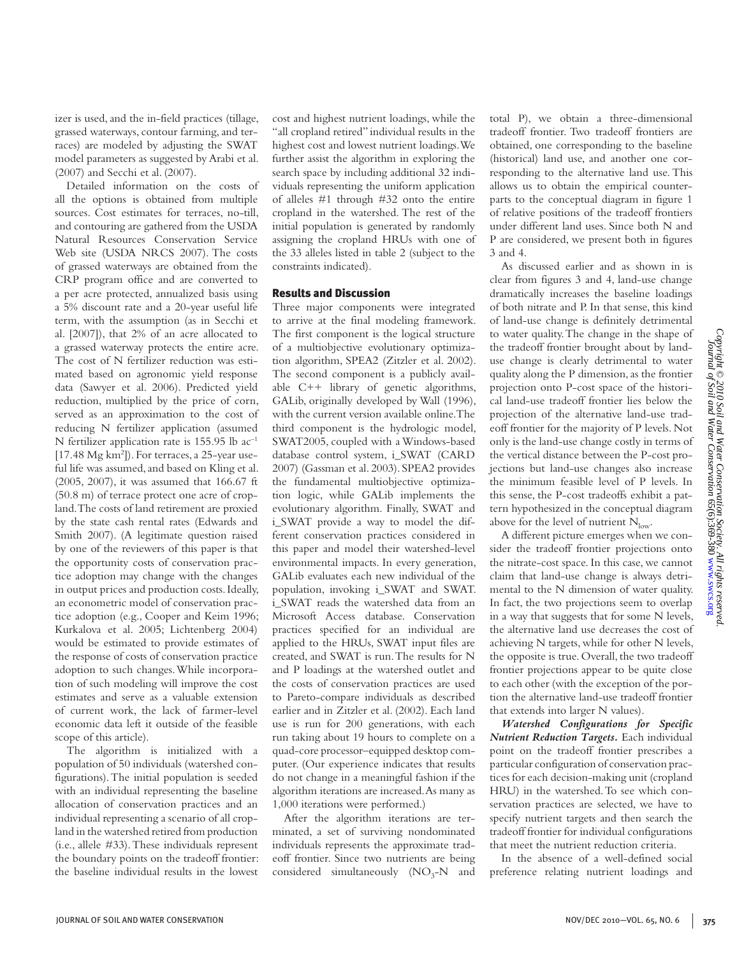izer is used, and the in-field practices (tillage, grassed waterways, contour farming, and terraces) are modeled by adjusting the SWAT model parameters as suggested by Arabi et al. (2007) and Secchi et al. (2007).

Detailed information on the costs of all the options is obtained from multiple sources. Cost estimates for terraces, no-till, and contouring are gathered from the USDA Natural Resources Conservation Service Web site (USDA NRCS 2007). The costs of grassed waterways are obtained from the CRP program office and are converted to a per acre protected, annualized basis using a 5% discount rate and a 20-year useful life term, with the assumption (as in Secchi et al. [2007]), that 2% of an acre allocated to a grassed waterway protects the entire acre. The cost of N fertilizer reduction was estimated based on agronomic yield response data (Sawyer et al. 2006). Predicted yield reduction, multiplied by the price of corn, served as an approximation to the cost of reducing N fertilizer application (assumed N fertilizer application rate is 155.95 lb ac–1 [17.48 Mg km<sup>2</sup>]). For terraces, a 25-year useful life was assumed, and based on Kling et al. (2005, 2007), it was assumed that 166.67 ft (50.8 m) of terrace protect one acre of cropland. The costs of land retirement are proxied by the state cash rental rates (Edwards and Smith 2007). (A legitimate question raised by one of the reviewers of this paper is that the opportunity costs of conservation practice adoption may change with the changes in output prices and production costs. Ideally, an econometric model of conservation practice adoption (e.g., Cooper and Keim 1996; Kurkalova et al. 2005; Lichtenberg 2004) would be estimated to provide estimates of the response of costs of conservation practice adoption to such changes. While incorporation of such modeling will improve the cost estimates and serve as a valuable extension of current work, the lack of farmer-level economic data left it outside of the feasible scope of this article).

The algorithm is initialized with a population of 50 individuals (watershed configurations). The initial population is seeded with an individual representing the baseline allocation of conservation practices and an individual representing a scenario of all cropland in the watershed retired from production (i.e., allele #33). These individuals represent the boundary points on the tradeoff frontier: the baseline individual results in the lowest cost and highest nutrient loadings, while the "all cropland retired" individual results in the highest cost and lowest nutrient loadings. We further assist the algorithm in exploring the search space by including additional 32 individuals representing the uniform application of alleles #1 through #32 onto the entire cropland in the watershed. The rest of the initial population is generated by randomly assigning the cropland HRUs with one of the 33 alleles listed in table 2 (subject to the constraints indicated).

## Results and Discussion

Three major components were integrated to arrive at the final modeling framework. The first component is the logical structure of a multiobjective evolutionary optimization algorithm, SPEA2 (Zitzler et al. 2002). The second component is a publicly available C++ library of genetic algorithms, GALib, originally developed by Wall (1996), with the current version available online. The third component is the hydrologic model, SWAT2005, coupled with a Windows-based database control system, i\_SWAT (CARD 2007) (Gassman et al. 2003). SPEA2 provides the fundamental multiobjective optimization logic, while GALib implements the evolutionary algorithm. Finally, SWAT and i\_SWAT provide a way to model the different conservation practices considered in this paper and model their watershed-level environmental impacts. In every generation, GALib evaluates each new individual of the population, invoking i\_SWAT and SWAT. i\_SWAT reads the watershed data from an Microsoft Access database. Conservation practices specified for an individual are applied to the HRUs, SWAT input files are created, and SWAT is run. The results for N and P loadings at the watershed outlet and the costs of conservation practices are used to Pareto-compare individuals as described earlier and in Zitzler et al. (2002). Each land use is run for 200 generations, with each run taking about 19 hours to complete on a quad-core processor–equipped desktop computer. (Our experience indicates that results do not change in a meaningful fashion if the algorithm iterations are increased. As many as 1,000 iterations were performed.)

After the algorithm iterations are terminated, a set of surviving nondominated individuals represents the approximate tradeoff frontier. Since two nutrients are being considered simultaneously  $(NO<sub>3</sub>-N$  and total P), we obtain a three-dimensional tradeoff frontier. Two tradeoff frontiers are obtained, one corresponding to the baseline (historical) land use, and another one corresponding to the alternative land use. This allows us to obtain the empirical counterparts to the conceptual diagram in figure 1 of relative positions of the tradeoff frontiers under different land uses. Since both N and P are considered, we present both in figures 3 and 4.

As discussed earlier and as shown in is clear from figures 3 and 4, land-use change dramatically increases the baseline loadings of both nitrate and P. In that sense, this kind of land-use change is definitely detrimental to water quality. The change in the shape of the tradeoff frontier brought about by landuse change is clearly detrimental to water quality along the P dimension, as the frontier projection onto P-cost space of the historical land-use tradeoff frontier lies below the projection of the alternative land-use tradeoff frontier for the majority of P levels. Not only is the land-use change costly in terms of the vertical distance between the P-cost projections but land-use changes also increase the minimum feasible level of P levels. In this sense, the P-cost tradeoffs exhibit a pattern hypothesized in the conceptual diagram above for the level of nutrient  $N_{low}$ .

A different picture emerges when we consider the tradeoff frontier projections onto the nitrate-cost space. In this case, we cannot claim that land-use change is always detrimental to the N dimension of water quality. In fact, the two projections seem to overlap in a way that suggests that for some N levels, the alternative land use decreases the cost of achieving N targets, while for other N levels, the opposite is true. Overall, the two tradeoff frontier projections appear to be quite close to each other (with the exception of the portion the alternative land-use tradeoff frontier that extends into larger N values).

*Watershed Configurations for Specific Nutrient Reduction Targets.* Each individual point on the tradeoff frontier prescribes a particular configuration of conservation practices for each decision-making unit (cropland HRU) in the watershed. To see which conservation practices are selected, we have to specify nutrient targets and then search the tradeoff frontier for individual configurations that meet the nutrient reduction criteria.

In the absence of a well-defined social preference relating nutrient loadings and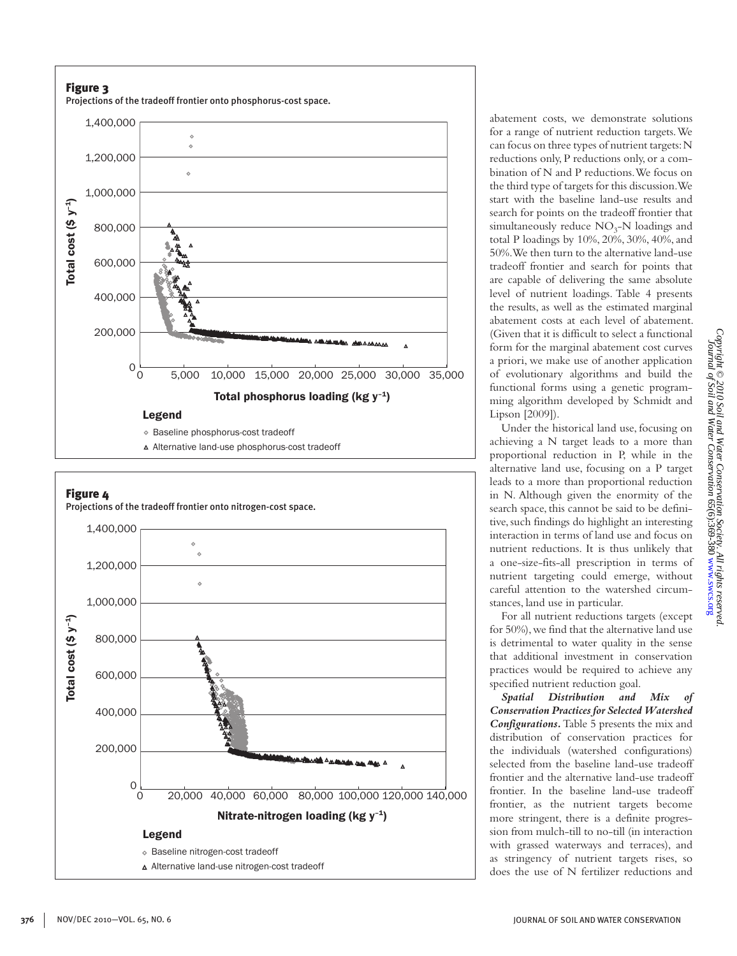

## Figure 4





abatement costs, we demonstrate solutions for a range of nutrient reduction targets. We can focus on three types of nutrient targets: N reductions only, P reductions only, or a combination of N and P reductions. We focus on the third type of targets for this discussion. We start with the baseline land-use results and search for points on the tradeoff frontier that simultaneously reduce  $NO<sub>3</sub>-N$  loadings and total P loadings by 10%, 20%, 30%, 40%, and 50%. We then turn to the alternative land-use tradeoff frontier and search for points that are capable of delivering the same absolute level of nutrient loadings. Table 4 presents the results, as well as the estimated marginal abatement costs at each level of abatement. (Given that it is difficult to select a functional form for the marginal abatement cost curves a priori, we make use of another application of evolutionary algorithms and build the functional forms using a genetic programming algorithm developed by Schmidt and Lipson [2009]).

Under the historical land use, focusing on achieving a N target leads to a more than proportional reduction in P, while in the alternative land use, focusing on a P target leads to a more than proportional reduction in N. Although given the enormity of the search space, this cannot be said to be definitive, such findings do highlight an interesting interaction in terms of land use and focus on nutrient reductions. It is thus unlikely that a one-size-fits-all prescription in terms of nutrient targeting could emerge, without careful attention to the watershed circumstances, land use in particular.

For all nutrient reductions targets (except for 50%), we find that the alternative land use is detrimental to water quality in the sense that additional investment in conservation practices would be required to achieve any specified nutrient reduction goal.

*Spatial Distribution and Mix of Conservation Practices for Selected Watershed Configurations.* Table 5 presents the mix and distribution of conservation practices for the individuals (watershed configurations) selected from the baseline land-use tradeoff frontier and the alternative land-use tradeoff frontier. In the baseline land-use tradeoff frontier, as the nutrient targets become more stringent, there is a definite progression from mulch-till to no-till (in interaction with grassed waterways and terraces), and as stringency of nutrient targets rises, so does the use of N fertilizer reductions and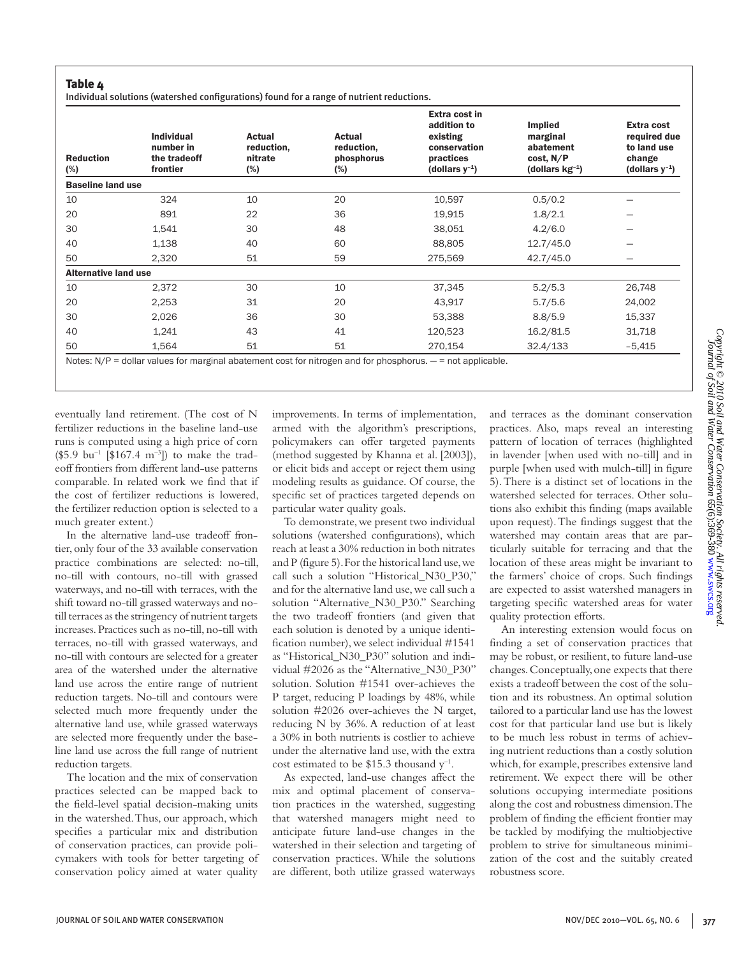Individual solutions (watershed configurations) found for a range of nutrient reductions.

| <b>Reduction</b><br>(%)     | Individual<br>number in<br>the tradeoff<br>frontier | Actual<br>reduction,<br>nitrate<br>$(\%)$ | Actual<br>reduction,<br>phosphorus<br>$(\%)$ | Extra cost in<br>addition to<br>existing<br>conservation<br>practices<br>(dollars $y^{-1}$ )                    | <b>Implied</b><br>marginal<br>abatement<br>cost, N/P<br>(dollars $kg^{-1}$ ) | <b>Extra cost</b><br>required due<br>to land use<br>change<br>(dollars $y^{-1}$ ) |
|-----------------------------|-----------------------------------------------------|-------------------------------------------|----------------------------------------------|-----------------------------------------------------------------------------------------------------------------|------------------------------------------------------------------------------|-----------------------------------------------------------------------------------|
| <b>Baseline land use</b>    |                                                     |                                           |                                              |                                                                                                                 |                                                                              |                                                                                   |
| 10                          | 324                                                 | 10                                        | 20                                           | 10,597                                                                                                          | 0.5/0.2                                                                      |                                                                                   |
| 20                          | 891                                                 | 22                                        | 36                                           | 19,915                                                                                                          | 1.8/2.1                                                                      |                                                                                   |
| 30                          | 1,541                                               | 30                                        | 48                                           | 38,051                                                                                                          | 4.2/6.0                                                                      |                                                                                   |
| 40                          | 1,138                                               | 40                                        | 60                                           | 88,805                                                                                                          | 12.7/45.0                                                                    |                                                                                   |
| 50                          | 2,320                                               | 51                                        | 59                                           | 275,569                                                                                                         | 42.7/45.0                                                                    |                                                                                   |
| <b>Alternative land use</b> |                                                     |                                           |                                              |                                                                                                                 |                                                                              |                                                                                   |
| 10                          | 2,372                                               | 30                                        | 10                                           | 37,345                                                                                                          | 5.2/5.3                                                                      | 26,748                                                                            |
| 20                          | 2,253                                               | 31                                        | 20                                           | 43,917                                                                                                          | 5.7/5.6                                                                      | 24,002                                                                            |
| 30                          | 2,026                                               | 36                                        | 30                                           | 53,388                                                                                                          | 8.8/5.9                                                                      | 15,337                                                                            |
| 40                          | 1,241                                               | 43                                        | 41                                           | 120,523                                                                                                         | 16.2/81.5                                                                    | 31,718                                                                            |
| 50                          | 1,564                                               | 51                                        | 51                                           | 270,154                                                                                                         | 32.4/133                                                                     | $-5,415$                                                                          |
|                             |                                                     |                                           |                                              | Notes: $N/P$ = dollar values for marginal abatement cost for nitrogen and for phosphorus. $-$ = not applicable. |                                                                              |                                                                                   |

eventually land retirement. (The cost of N fertilizer reductions in the baseline land-use runs is computed using a high price of corn (\$5.9 bu<sup>-1</sup> [\$167.4 m<sup>-3</sup>]) to make the tradeoff frontiers from different land-use patterns comparable. In related work we find that if the cost of fertilizer reductions is lowered, the fertilizer reduction option is selected to a much greater extent.)

In the alternative land-use tradeoff frontier, only four of the 33 available conservation practice combinations are selected: no-till, no-till with contours, no-till with grassed waterways, and no-till with terraces, with the shift toward no-till grassed waterways and notill terraces as the stringency of nutrient targets increases. Practices such as no-till, no-till with terraces, no-till with grassed waterways, and no-till with contours are selected for a greater area of the watershed under the alternative land use across the entire range of nutrient reduction targets. No-till and contours were selected much more frequently under the alternative land use, while grassed waterways are selected more frequently under the baseline land use across the full range of nutrient reduction targets.

The location and the mix of conservation practices selected can be mapped back to the field-level spatial decision-making units in the watershed. Thus, our approach, which specifies a particular mix and distribution of conservation practices, can provide policymakers with tools for better targeting of conservation policy aimed at water quality

improvements. In terms of implementation, armed with the algorithm's prescriptions, policymakers can offer targeted payments (method suggested by Khanna et al. [2003]), or elicit bids and accept or reject them using modeling results as guidance. Of course, the specific set of practices targeted depends on particular water quality goals.

To demonstrate, we present two individual solutions (watershed configurations), which reach at least a 30% reduction in both nitrates and P (figure 5). For the historical land use, we call such a solution "Historical\_N30\_P30," and for the alternative land use, we call such a solution "Alternative N30 P30." Searching the two tradeoff frontiers (and given that each solution is denoted by a unique identification number), we select individual #1541 as "Historical\_N30\_P30" solution and individual #2026 as the "Alternative\_N30\_P30" solution. Solution #1541 over-achieves the P target, reducing P loadings by 48%, while solution #2026 over-achieves the N target, reducing N by 36%. A reduction of at least a 30% in both nutrients is costlier to achieve under the alternative land use, with the extra cost estimated to be \$15.3 thousand  $y^{-1}$ .

As expected, land-use changes affect the mix and optimal placement of conservation practices in the watershed, suggesting that watershed managers might need to anticipate future land-use changes in the watershed in their selection and targeting of conservation practices. While the solutions are different, both utilize grassed waterways and terraces as the dominant conservation practices. Also, maps reveal an interesting pattern of location of terraces (highlighted in lavender [when used with no-till] and in purple [when used with mulch-till] in figure 5). There is a distinct set of locations in the watershed selected for terraces. Other solutions also exhibit this finding (maps available upon request). The findings suggest that the watershed may contain areas that are particularly suitable for terracing and that the location of these areas might be invariant to the farmers' choice of crops. Such findings are expected to assist watershed managers in targeting specific watershed areas for water quality protection efforts.

An interesting extension would focus on finding a set of conservation practices that may be robust, or resilient, to future land-use changes. Conceptually, one expects that there exists a tradeoff between the cost of the solution and its robustness. An optimal solution tailored to a particular land use has the lowest cost for that particular land use but is likely to be much less robust in terms of achieving nutrient reductions than a costly solution which, for example, prescribes extensive land retirement. We expect there will be other solutions occupying intermediate positions along the cost and robustness dimension. The problem of finding the efficient frontier may be tackled by modifying the multiobjective problem to strive for simultaneous minimization of the cost and the suitably created robustness score.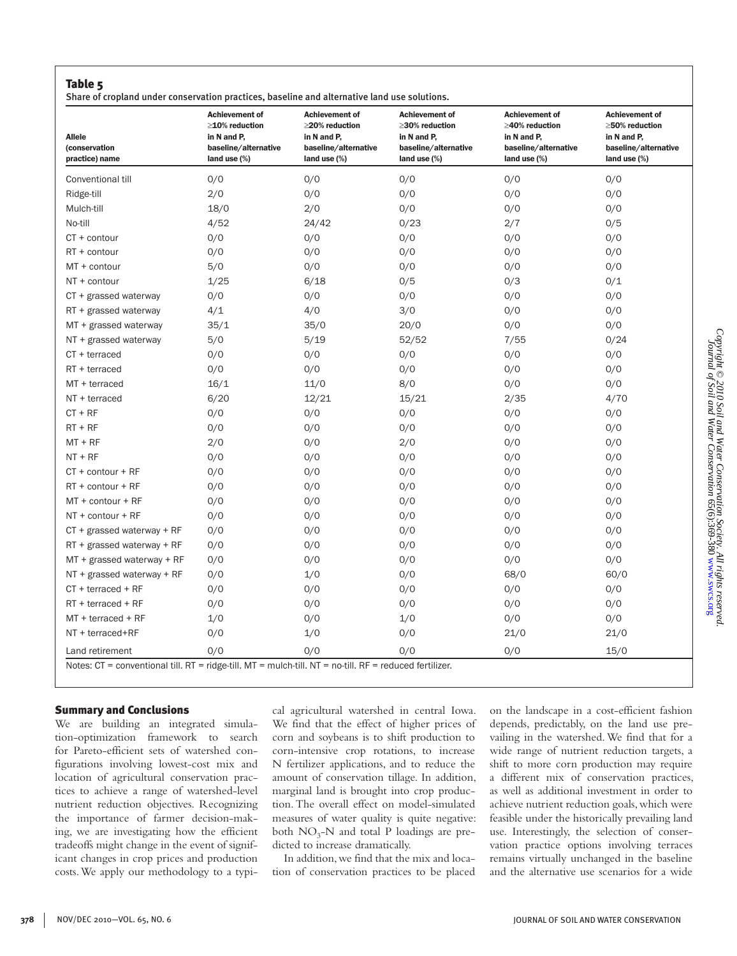## Table 5

Share of cropland under conservation practices, baseline and alternative land use solutions.

| <b>Allele</b><br>(conservation<br>practice) name | <b>Achievement of</b><br>$\geq$ 10% reduction<br>in N and P,<br>baseline/alternative<br>land use $(\%)$ | <b>Achievement of</b><br>≥20% reduction<br>in N and P,<br>baseline/alternative<br>land use (%) | <b>Achievement of</b><br>$\geq$ 30% reduction<br>in N and P,<br>baseline/alternative<br>land use $(\%)$ | <b>Achievement of</b><br>$\geq$ 40% reduction<br>in N and P,<br>baseline/alternative<br>land use $(\%)$ | <b>Achievement of</b><br>$\geq$ 50% reduction<br>in N and P,<br>baseline/alternative<br>land use $(\%)$ |
|--------------------------------------------------|---------------------------------------------------------------------------------------------------------|------------------------------------------------------------------------------------------------|---------------------------------------------------------------------------------------------------------|---------------------------------------------------------------------------------------------------------|---------------------------------------------------------------------------------------------------------|
| Conventional till                                | 0/0                                                                                                     | 0/0                                                                                            | 0/0                                                                                                     | 0/0                                                                                                     | 0/0                                                                                                     |
| Ridge-till                                       | 2/0                                                                                                     | 0/0                                                                                            | 0/0                                                                                                     | 0/0                                                                                                     | 0/0                                                                                                     |
| Mulch-till                                       | 18/0                                                                                                    | 2/0                                                                                            | 0/0                                                                                                     | 0/0                                                                                                     | 0/0                                                                                                     |
| No-till                                          | 4/52                                                                                                    | 24/42                                                                                          | 0/23                                                                                                    | 2/7                                                                                                     | 0/5                                                                                                     |
| $CT + \text{contour}$                            | 0/0                                                                                                     | 0/0                                                                                            | 0/0                                                                                                     | 0/0                                                                                                     | 0/0                                                                                                     |
| $RT +$ contour                                   | 0/0                                                                                                     | 0/0                                                                                            | 0/0                                                                                                     | 0/0                                                                                                     | 0/0                                                                                                     |
| MT + contour                                     | 5/0                                                                                                     | 0/0                                                                                            | 0/0                                                                                                     | 0/0                                                                                                     | 0/0                                                                                                     |
| NT + contour                                     | 1/25                                                                                                    | 6/18                                                                                           | 0/5                                                                                                     | 0/3                                                                                                     | 0/1                                                                                                     |
| CT + grassed waterway                            | 0/0                                                                                                     | 0/0                                                                                            | 0/0                                                                                                     | 0/0                                                                                                     | 0/0                                                                                                     |
| RT + grassed waterway                            | 4/1                                                                                                     | 4/0                                                                                            | 3/0                                                                                                     | 0/0                                                                                                     | 0/0                                                                                                     |
| MT + grassed waterway                            | 35/1                                                                                                    | 35/0                                                                                           | 20/0                                                                                                    | 0/0                                                                                                     | 0/0                                                                                                     |
| NT + grassed waterway                            | 5/0                                                                                                     | 5/19                                                                                           | 52/52                                                                                                   | 7/55                                                                                                    | 0/24                                                                                                    |
| $CT +$ terraced                                  | 0/0                                                                                                     | 0/0                                                                                            | 0/0                                                                                                     | 0/0                                                                                                     | 0/0                                                                                                     |
| RT + terraced                                    | 0/0                                                                                                     | 0/0                                                                                            | 0/0                                                                                                     | 0/0                                                                                                     | 0/0                                                                                                     |
| MT + terraced                                    | 16/1                                                                                                    | 11/0                                                                                           | 8/0                                                                                                     | 0/0                                                                                                     | 0/0                                                                                                     |
| NT + terraced                                    | 6/20                                                                                                    | 12/21                                                                                          | 15/21                                                                                                   | 2/35                                                                                                    | 4/70                                                                                                    |
| $CT + RF$                                        | 0/0                                                                                                     | 0/0                                                                                            | 0/0                                                                                                     | 0/0                                                                                                     | 0/0                                                                                                     |
| $RT + RF$                                        | 0/0                                                                                                     | 0/0                                                                                            | 0/0                                                                                                     | 0/0                                                                                                     | 0/0                                                                                                     |
| $MT + RF$                                        | 2/0                                                                                                     | 0/0                                                                                            | 2/0                                                                                                     | 0/0                                                                                                     | 0/0                                                                                                     |
| $NT + RF$                                        | 0/0                                                                                                     | 0/0                                                                                            | 0/0                                                                                                     | 0/0                                                                                                     | 0/0                                                                                                     |
| $CT + \text{contour} + RF$                       | 0/0                                                                                                     | 0/0                                                                                            | 0/0                                                                                                     | 0/0                                                                                                     | 0/0                                                                                                     |
| RT + contour + RF                                | 0/0                                                                                                     | 0/0                                                                                            | 0/0                                                                                                     | 0/0                                                                                                     | 0/0                                                                                                     |
| MT + contour + RF                                | 0/0                                                                                                     | 0/0                                                                                            | 0/0                                                                                                     | 0/0                                                                                                     | 0/0                                                                                                     |
| NT + contour + RF                                | 0/0                                                                                                     | 0/0                                                                                            | 0/0                                                                                                     | 0/0                                                                                                     | 0/0                                                                                                     |
| $CT +$ grassed waterway + RF                     | 0/0                                                                                                     | 0/0                                                                                            | 0/0                                                                                                     | 0/0                                                                                                     | 0/0                                                                                                     |
| RT + grassed waterway + RF                       | 0/0                                                                                                     | 0/0                                                                                            | 0/0                                                                                                     | 0/0                                                                                                     | 0/0                                                                                                     |
| $MT +$ grassed waterway + RF                     | 0/0                                                                                                     | 0/0                                                                                            | 0/0                                                                                                     | 0/0                                                                                                     | 0/0                                                                                                     |
| $NT + grassed waterway + RF$                     | 0/0                                                                                                     | 1/0                                                                                            | 0/0                                                                                                     | 68/0                                                                                                    | 60/0                                                                                                    |
| $CT +$ terraced $+$ RF                           | 0/0                                                                                                     | 0/0                                                                                            | 0/0                                                                                                     | 0/0                                                                                                     | 0/0                                                                                                     |
| $RT +$ terraced $+$ RF                           | 0/0                                                                                                     | 0/0                                                                                            | 0/0                                                                                                     | 0/0                                                                                                     | 0/0                                                                                                     |
| MT + terraced + RF                               | 1/0                                                                                                     | 0/0                                                                                            | 1/0                                                                                                     | 0/0                                                                                                     | 0/0                                                                                                     |
| NT + terraced+RF                                 | 0/0                                                                                                     | 1/0                                                                                            | 0/0                                                                                                     | 21/0                                                                                                    | 21/0                                                                                                    |
| Land retirement                                  | 0/0                                                                                                     | 0/0                                                                                            | 0/0                                                                                                     | 0/0                                                                                                     | 15/0                                                                                                    |

### Summary and Conclusions

We are building an integrated simulation-optimization framework to search for Pareto-efficient sets of watershed configurations involving lowest-cost mix and location of agricultural conservation practices to achieve a range of watershed-level nutrient reduction objectives. Recognizing the importance of farmer decision-making, we are investigating how the efficient tradeoffs might change in the event of significant changes in crop prices and production costs. We apply our methodology to a typical agricultural watershed in central Iowa. We find that the effect of higher prices of corn and soybeans is to shift production to corn-intensive crop rotations, to increase N fertilizer applications, and to reduce the amount of conservation tillage. In addition, marginal land is brought into crop production. The overall effect on model-simulated measures of water quality is quite negative: both  $NO<sub>3</sub>-N$  and total P loadings are predicted to increase dramatically.

In addition, we find that the mix and location of conservation practices to be placed

on the landscape in a cost-efficient fashion depends, predictably, on the land use prevailing in the watershed. We find that for a wide range of nutrient reduction targets, a shift to more corn production may require a different mix of conservation practices, as well as additional investment in order to achieve nutrient reduction goals, which were feasible under the historically prevailing land use. Interestingly, the selection of conservation practice options involving terraces remains virtually unchanged in the baseline and the alternative use scenarios for a wide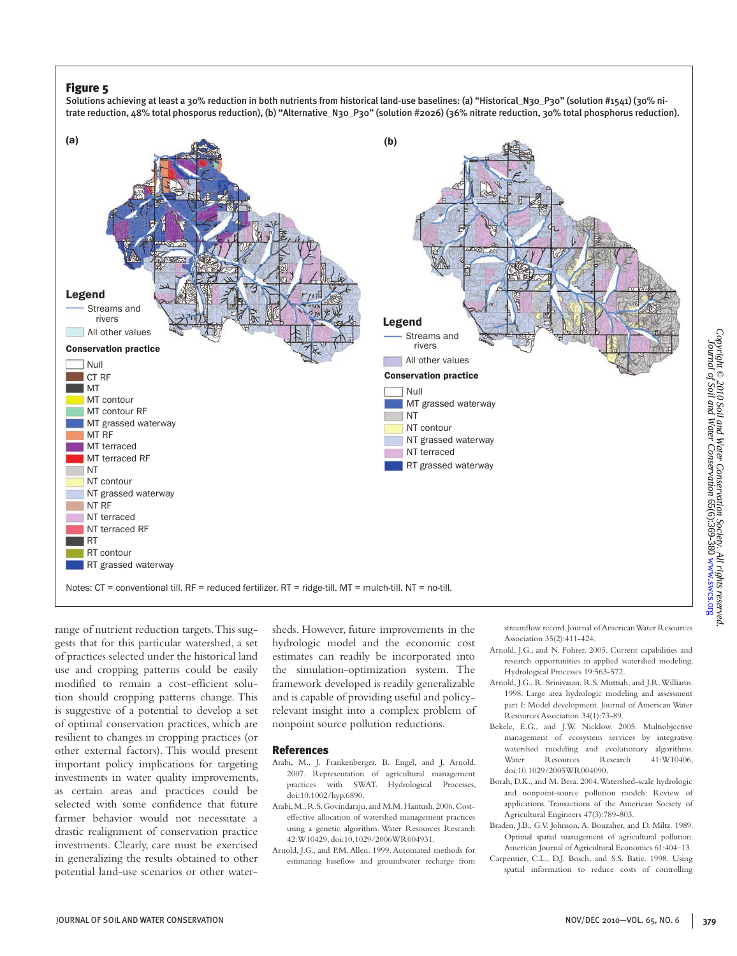## Figure 5



Solutions achieving at least a 30% reduction in both nutrients from historical land-use baselines: (a) "Historical\_N30\_P30" (solution #1541) (30% nitrate reduction, 48% total phosporus reduction), (b) "Alternative\_N30\_P30" (solution #2026) (36% nitrate reduction, 30% total phosphorus reduction).

range of nutrient reduction targets. This suggests that for this particular watershed, a set of practices selected under the historical land use and cropping patterns could be easily modified to remain a cost-efficient solution should cropping patterns change. This is suggestive of a potential to develop a set of optimal conservation practices, which are resilient to changes in cropping practices (or other external factors). This would present important policy implications for targeting investments in water quality improvements, as certain areas and practices could be selected with some confidence that future farmer behavior would not necessitate a drastic realignment of conservation practice investments. Clearly, care must be exercised in generalizing the results obtained to other potential land-use scenarios or other water-

sheds. However, future improvements in the hydrologic model and the economic cost estimates can readily be incorporated into the simulation-optimization system. The framework developed is readily generalizable and is capable of providing useful and policyrelevant insight into a complex problem of nonpoint source pollution reductions.

#### References

- Arabi, M., J. Frankenberger, B. Engel, and J. Arnold. 2007. Representation of agricultural management practices with SWAT. Hydrological Processes, doi:10.1002/hyp.6890.
- Arabi, M., R.S. Govindaraju, and M.M. Hantush. 2006. Costeffective allocation of watershed management practices using a genetic algorithm. Water Resources Research 42:W10429, doi:10.1029/2006WR004931.
- Arnold, J.G., and P.M. Allen. 1999. Automated methods for estimating baseflow and groundwater recharge from

streamflow record. Journal of American Water Resources Association 35(2):411-424.

- Arnold, J.G., and N. Fohrer. 2005. Current capabilities and research opportunities in applied watershed modeling. Hydrological Processes 19:563-572.
- Arnold, J.G., R. Srinivasan, R.S. Muttiah, and J.R. Williams. 1998. Large area hydrologic modeling and assessment part I: Model development. Journal of American Water Resources Association 34(1):73-89.
- Bekele, E.G., and J.W. Nicklow. 2005. Multiobjective management of ecosystem services by integrative watershed modeling and evolutionary algorithms. Water Resources Research 41:W10406, doi:10.1029/2005WR004090.
- Borah, D.K., and M. Bera. 2004. Watershed-scale hydrologic and nonpoint-source pollution models: Review of applications. Transactions of the American Society of Agricultural Engineers 47(3):789-803.
- Braden, J.B., G.V. Johnson, A. Bouzaher, and D. Miltz. 1989. Optimal spatial management of agricultural pollution. American Journal of Agricultural Economics 61:404–13.
- Carpentier, C.L., D.J. Bosch, and S.S. Batie. 1998. Using spatial information to reduce costs of controlling